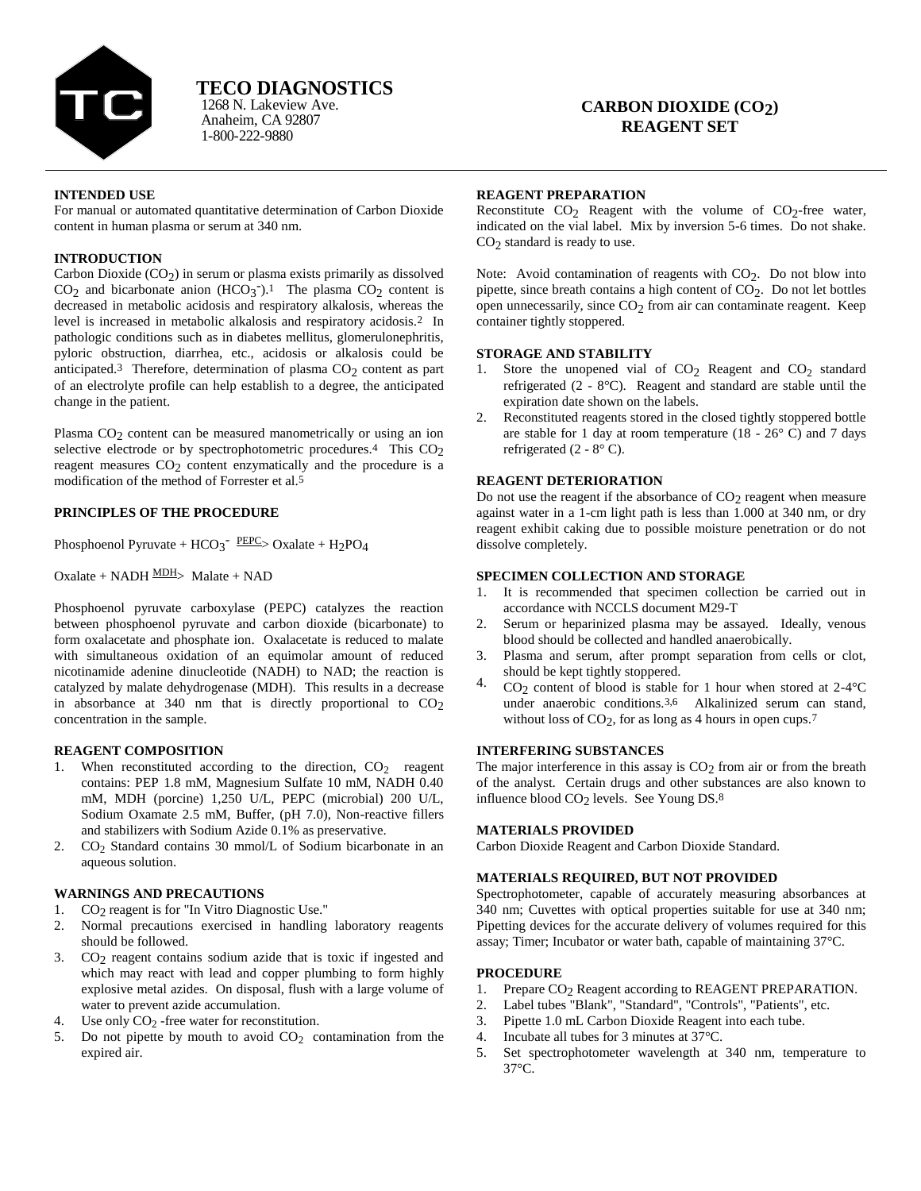

**TECO DIAGNOSTICS**

Anaheim, CA 92807 1-800-222-9880 1268 N. Lakeview Ave.

# **CARBON DIOXIDE (CO2) REAGENT SET**

#### **INTENDED USE**

For manual or automated quantitative determination of Carbon Dioxide content in human plasma or serum at 340 nm.

# **INTRODUCTION**

Carbon Dioxide  $(CO<sub>2</sub>)$  in serum or plasma exists primarily as dissolved  $CO<sub>2</sub>$  and bicarbonate anion (HCO<sub>3</sub><sup>-</sup>).<sup>1</sup> The plasma  $CO<sub>2</sub>$  content is decreased in metabolic acidosis and respiratory alkalosis, whereas the level is increased in metabolic alkalosis and respiratory acidosis.2 In pathologic conditions such as in diabetes mellitus, glomerulonephritis, pyloric obstruction, diarrhea, etc., acidosis or alkalosis could be anticipated.<sup>3</sup> Therefore, determination of plasma  $CO<sub>2</sub>$  content as part of an electrolyte profile can help establish to a degree, the anticipated change in the patient.

Plasma CO<sub>2</sub> content can be measured manometrically or using an ion selective electrode or by spectrophotometric procedures.<sup>4</sup> This CO<sub>2</sub> reagent measures  $CO<sub>2</sub>$  content enzymatically and the procedure is a modification of the method of Forrester et al.5

# **PRINCIPLES OF THE PROCEDURE**

Phosphoenol Pyruvate +  $HCO_3^ \frac{PEPC}{>}$  Oxalate +  $H_2PO_4$ 

 $Oxalate + NADH \frac{MDH}{P}$  Malate + NAD

Phosphoenol pyruvate carboxylase (PEPC) catalyzes the reaction between phosphoenol pyruvate and carbon dioxide (bicarbonate) to form oxalacetate and phosphate ion. Oxalacetate is reduced to malate with simultaneous oxidation of an equimolar amount of reduced nicotinamide adenine dinucleotide (NADH) to NAD; the reaction is catalyzed by malate dehydrogenase (MDH). This results in a decrease in absorbance at 340 nm that is directly proportional to  $CO<sub>2</sub>$ concentration in the sample.

# **REAGENT COMPOSITION**

- 1. When reconstituted according to the direction,  $CO<sub>2</sub>$  reagent contains: PEP 1.8 mM, Magnesium Sulfate 10 mM, NADH 0.40 mM, MDH (porcine) 1,250 U/L, PEPC (microbial) 200 U/L, Sodium Oxamate 2.5 mM, Buffer, (pH 7.0), Non-reactive fillers and stabilizers with Sodium Azide 0.1% as preservative.
- 2.  $CO<sub>2</sub>$  Standard contains 30 mmol/L of Sodium bicarbonate in an aqueous solution.

# **WARNINGS AND PRECAUTIONS**

- 1. CO<sub>2</sub> reagent is for "In Vitro Diagnostic Use."
- 2. Normal precautions exercised in handling laboratory reagents should be followed.
- 3. CO2 reagent contains sodium azide that is toxic if ingested and which may react with lead and copper plumbing to form highly explosive metal azides. On disposal, flush with a large volume of water to prevent azide accumulation.
- 4. Use only  $CO<sub>2</sub>$ -free water for reconstitution.
- 5. Do not pipette by mouth to avoid  $CO<sub>2</sub>$  contamination from the expired air.

### **REAGENT PREPARATION**

Reconstitute  $CO_2$  Reagent with the volume of  $CO_2$ -free water, indicated on the vial label. Mix by inversion 5-6 times. Do not shake. CO2 standard is ready to use.

Note: Avoid contamination of reagents with  $CO<sub>2</sub>$ . Do not blow into pipette, since breath contains a high content of  $CO<sub>2</sub>$ . Do not let bottles open unnecessarily, since CO<sub>2</sub> from air can contaminate reagent. Keep container tightly stoppered.

# **STORAGE AND STABILITY**

- 1. Store the unopened vial of  $CO<sub>2</sub>$  Reagent and  $CO<sub>2</sub>$  standard refrigerated (2 - 8°C). Reagent and standard are stable until the expiration date shown on the labels.
- 2. Reconstituted reagents stored in the closed tightly stoppered bottle are stable for 1 day at room temperature  $(18 - 26^{\circ} \text{ C})$  and 7 days refrigerated  $(2 - 8^{\circ} \text{ C})$ .

# **REAGENT DETERIORATION**

Do not use the reagent if the absorbance of  $CO<sub>2</sub>$  reagent when measure against water in a 1-cm light path is less than 1.000 at 340 nm, or dry reagent exhibit caking due to possible moisture penetration or do not dissolve completely.

### **SPECIMEN COLLECTION AND STORAGE**

- 1. It is recommended that specimen collection be carried out in accordance with NCCLS document M29-T
- 2. Serum or heparinized plasma may be assayed. Ideally, venous blood should be collected and handled anaerobically.
- Plasma and serum, after prompt separation from cells or clot, should be kept tightly stoppered.
- 4.  $CO_2$  content of blood is stable for 1 hour when stored at 2-4 °C under anaerobic conditions.3,6 Alkalinized serum can stand, without loss of CO<sub>2</sub>, for as long as 4 hours in open cups.<sup>7</sup>

# **INTERFERING SUBSTANCES**

The major interference in this assay is  $CO<sub>2</sub>$  from air or from the breath of the analyst. Certain drugs and other substances are also known to influence blood CO<sub>2</sub> levels. See Young DS.<sup>8</sup>

# **MATERIALS PROVIDED**

Carbon Dioxide Reagent and Carbon Dioxide Standard.

# **MATERIALS REQUIRED, BUT NOT PROVIDED**

Spectrophotometer, capable of accurately measuring absorbances at 340 nm; Cuvettes with optical properties suitable for use at 340 nm; Pipetting devices for the accurate delivery of volumes required for this assay; Timer; Incubator or water bath, capable of maintaining 37°C.

# **PROCEDURE**

- 1. Prepare CO<sub>2</sub> Reagent according to REAGENT PREPARATION.<br>2. Label tubes "Blank". "Standard". "Controls". "Patients". etc.
- Label tubes "Blank", "Standard", "Controls", "Patients", etc.
- 3. Pipette 1.0 mL Carbon Dioxide Reagent into each tube.
- 4. Incubate all tubes for 3 minutes at 37°C.
- 5. Set spectrophotometer wavelength at 340 nm, temperature to 37°C.